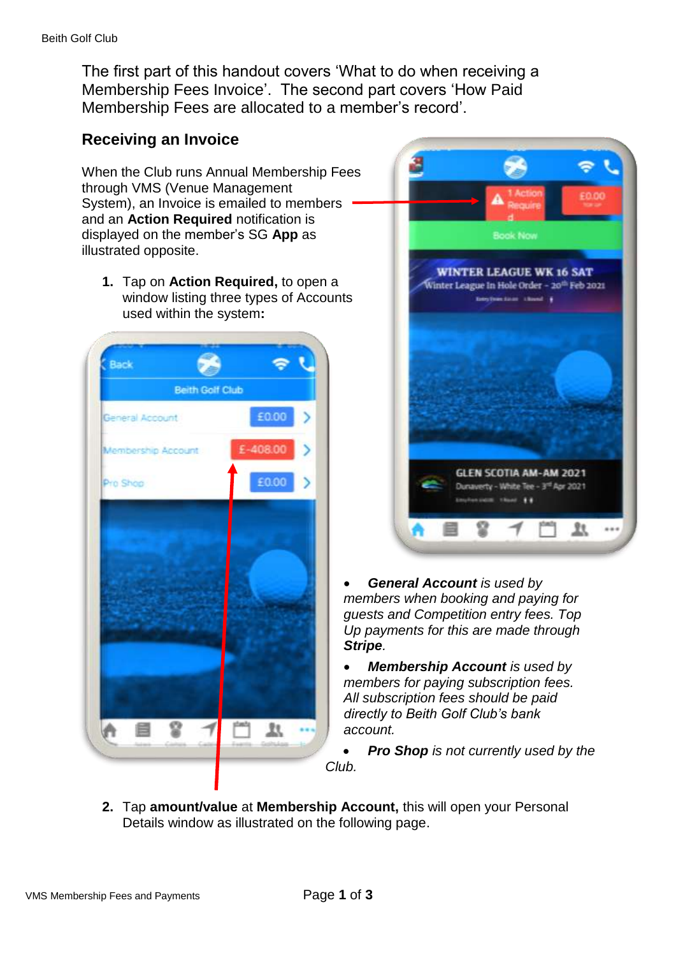The first part of this handout covers 'What to do when receiving a Membership Fees Invoice'. The second part covers 'How Paid Membership Fees are allocated to a member's record'.

# **Receiving an Invoice**

When the Club runs Annual Membership Fees through VMS (Venue Management System), an Invoice is emailed to members and an **Action Required** notification is displayed on the member's SG **App** as illustrated opposite.

**1.** Tap on **Action Required,** to open a window listing three types of Accounts used within the system**:**





 *General Account is used by members when booking and paying for guests and Competition entry fees. Top Up payments for this are made through Stripe.*

 *Membership Account is used by members for paying subscription fees. All subscription fees should be paid directly to Beith Golf Club's bank account.* 

 *Pro Shop is not currently used by the Club.*

**2.** Tap **amount/value** at **Membership Account,** this will open your Personal Details window as illustrated on the following page.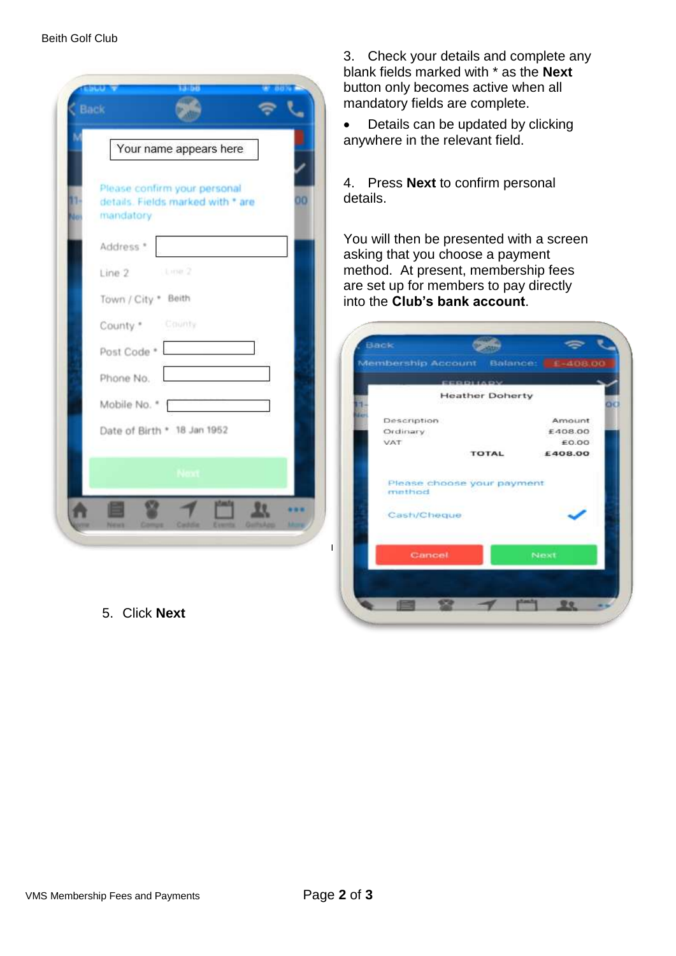|         | Your name appears here                                                               |
|---------|--------------------------------------------------------------------------------------|
| n<br>No | Please confirm your personal<br>00<br>details. Fields marked with * are<br>mandatory |
|         | Address *                                                                            |
|         | Line 2 Line 2                                                                        |
|         | Town / City * Beith                                                                  |
|         | County * County                                                                      |
|         | Post Code *                                                                          |
|         | Phone No.                                                                            |
|         | Mobile No. *                                                                         |
|         | Date of Birth * 18 Jan 1952                                                          |
|         |                                                                                      |
|         |                                                                                      |

5. Click **Next**

3. Check your details and complete any blank fields marked with \* as the **Next**  button only becomes active when all mandatory fields are complete.

• Details can be updated by clicking anywhere in the relevant field.

4. Press **Next** to confirm personal details.

You will then be presented with a screen asking that you choose a payment method. At present, membership fees are set up for members to pay directly into the **Club's bank account**.

| Membership Account         |                        | Balance: £-408,00 |
|----------------------------|------------------------|-------------------|
|                            |                        |                   |
|                            | <b>CEREDITA DIV</b>    |                   |
|                            | <b>Heather Doherty</b> |                   |
| <b>Description</b>         |                        | Amount            |
| Ordinary                   |                        | £408.00           |
| VAT                        |                        | £0.00             |
|                            | <b>TOTAL</b>           | £408.00           |
|                            |                        |                   |
| Please choose your payment |                        |                   |
| method                     |                        |                   |
|                            |                        |                   |
| Cash/Cheque                |                        |                   |
|                            |                        |                   |
|                            |                        |                   |
| Cancel                     |                        | <b>Next</b>       |
|                            |                        |                   |
|                            |                        |                   |
|                            |                        |                   |